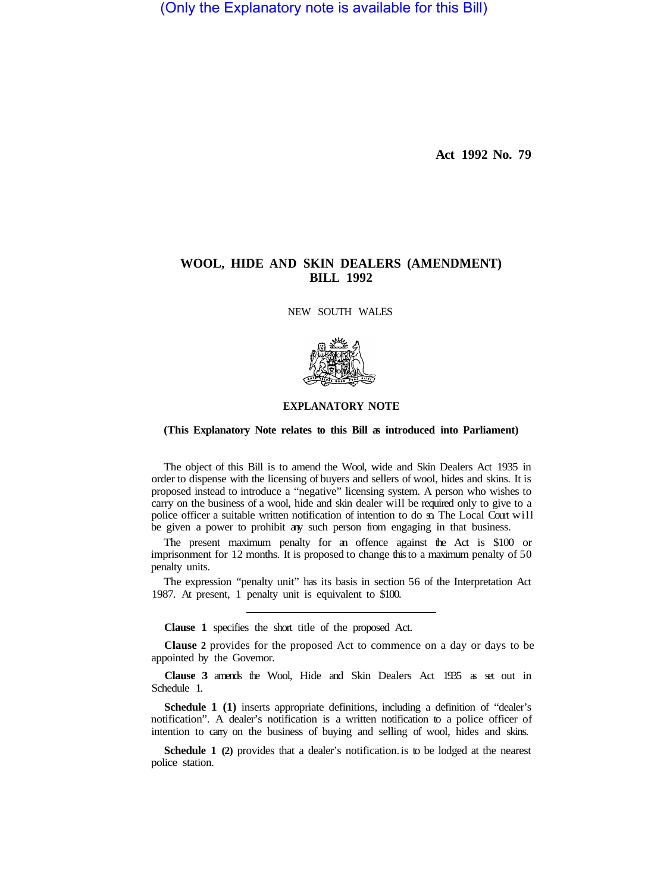(Only the Explanatory note is available for this Bill)

**Act 1992 No. 79** 

## **WOOL, HIDE AND SKIN DEALERS (AMENDMENT) BILL 1992**

NEW SOUTH WALES



## **EXPLANATORY NOTE**

## **(This Explanatory Note relates to this Bill as introduced into Parliament)**

The object of this Bill is to amend the Wool, wide and Skin Dealers Act 1935 in order to dispense with the licensing of buyers and sellers of wool, hides and skins. It is proposed instead to introduce a "negative" licensing system. A person who wishes to carry on the business of a wool, hide and skin dealer will be required only to give to a police officer a suitable written notification of intention to do so. The Local Court will be given a power to prohibit any such person from engaging in that business.

The present maximum penalty for an offence against the Act is \$100 or imprisonment for 12 months. It is proposed to change this to a maximum penalty of 50 penalty units.

The expression "penalty unit" has its basis in section 56 of the Interpretation Act 1987. At present, 1 penalty unit is equivalent to \$100.

**Clause 1** specifies the short title of the proposed Act.

**Clause 2** provides for the proposed Act to commence on a day or days to be appointed by the Governor.

**Clause 3** amends the Wool, Hide and Skin Dealers Act 1935 as set out in Schedule 1.

**Schedule 1 (1)** inserts appropriate definitions, including a definition of "dealer's notification". A dealer's notification is a written notification to a police officer of intention to cany on the business of buying and selling of wool, hides and skins.

**Schedule 1 (2)** provides that a dealer's notification. is to be lodged at the nearest police station.